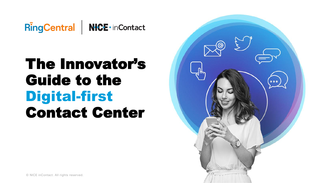

# The Innovator's Guide to the Digital-first Contact Center

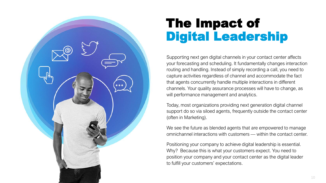

### The Impact of Digital Leadership

Supporting next gen digital channels in your contact center affects your forecasting and scheduling. It fundamentally changes interaction routing and handling. Instead of simply recording a call, you need to capture activities regardless of channel and accommodate the fact that agents concurrently handle multiple interactions in different channels. Your quality assurance processes will have to change, as will performance management and analytics.

Today, most organizations providing next generation digital channel support do so via siloed agents, frequently outside the contact center (often in Marketing).

We see the future as blended agents that are empowered to manage omnichannel interactions with customers — within the contact center.

Positioning your company to achieve digital leadership is essential. Why? Because this is what your customers expect. You need to position your company and your contact center as the digital leader to fulfill your customers' expectations.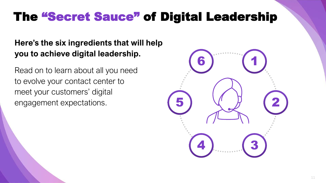## The "Secret Sauce" of Digital Leadership

### **Here's the six ingredients that will help you to achieve digital leadership.**

Read on to learn about all you need to evolve your contact center to meet your customers' digital engagement expectations.